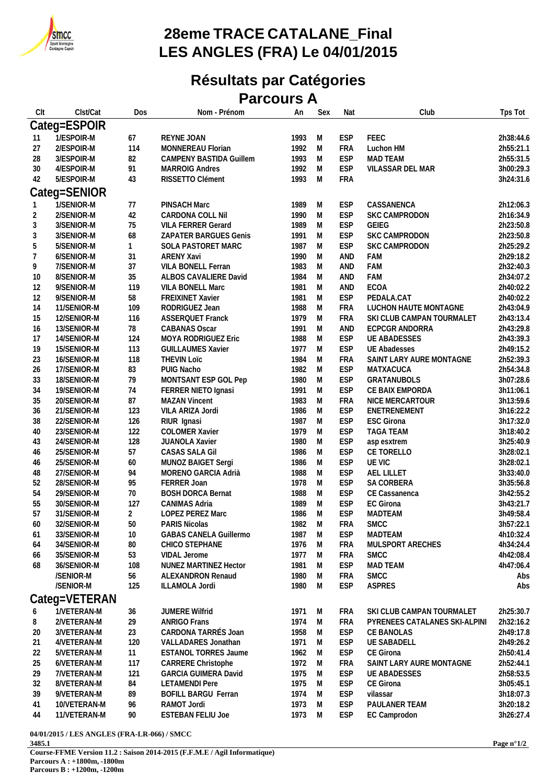

## **28eme TRACE CATALANE\_Final LES ANGLES (FRA) Le 04/01/2015**

## **Résultats par Catégories**

**Parcours A**

| Clt            | Clst/Cat                   | Dos            | Nom - Prénom                                    | An           | Sex    | Nat               | Club                                               | Tps Tot                |
|----------------|----------------------------|----------------|-------------------------------------------------|--------------|--------|-------------------|----------------------------------------------------|------------------------|
|                | Categ=ESPOIR               |                |                                                 |              |        |                   |                                                    |                        |
| 11             | 1/ESPOIR-M                 | 67             | REYNE JOAN                                      | 1993         | M      | <b>ESP</b>        | FEEC                                               | 2h38:44.6              |
| 27             | 2/ESPOIR-M                 | 114            | MONNEREAU Florian                               | 1992         | M      | <b>FRA</b>        | Luchon HM                                          | 2h55:21.1              |
| 28             | 3/ESPOIR-M                 | 82             | <b>CAMPENY BASTIDA Guillem</b>                  | 1993         | M      | <b>ESP</b>        | <b>MAD TEAM</b>                                    | 2h55:31.5              |
| 30             | 4/ESPOIR-M                 | 91             | <b>MARROIG Andres</b>                           | 1992         | M      | <b>ESP</b>        | VILASSAR DEL MAR                                   | 3h00:29.3              |
| 42             | 5/ESPOIR-M                 | 43             | RISSETTO Clément                                | 1993         | M      | <b>FRA</b>        |                                                    | 3h24:31.6              |
|                |                            |                |                                                 |              |        |                   |                                                    |                        |
|                | Categ=SENIOR               |                |                                                 |              |        |                   |                                                    |                        |
|                | 1/SENIOR-M                 | 77             | PINSACH Marc                                    | 1989         | M      | <b>ESP</b>        | CASSANENCA                                         | 2h12:06.3              |
| $\overline{c}$ | 2/SENIOR-M                 | 42             | CARDONA COLL Nil                                | 1990         | M      | <b>ESP</b>        | SKC CAMPRODON                                      | 2h16:34.9              |
| 3              | 3/SENIOR-M                 | 75             | <b>VILA FERRER Gerard</b>                       | 1989         | M      | <b>ESP</b>        | GEIEG                                              | 2h23:50.8              |
| $\sqrt{3}$     | 3/SENIOR-M                 | 68             | ZAPATER BARGUES Genis                           | 1991         | M      | <b>ESP</b>        | SKC CAMPRODON                                      | 2h23:50.8              |
| 5              | 5/SENIOR-M                 | $\mathbf{1}$   | SOLA PASTORET MARC                              | 1987         | M      | <b>ESP</b>        | SKC CAMPRODON                                      | 2h25:29.2              |
| $\overline{7}$ | 6/SENIOR-M                 | 31             | <b>ARENY Xavi</b>                               | 1990         | M      | AND               | FAM                                                | 2h29:18.2              |
| 9              | 7/SENIOR-M                 | 37             | VILA BONELL Ferran                              | 1983         | M      | AND               | FAM                                                | 2h32:40.3              |
| 10             | 8/SENIOR-M                 | 35             | ALBOS CAVALIERE David                           | 1984         | M      | AND               | FAM                                                | 2h34:07.2              |
| 12             | 9/SENIOR-M                 | 119            | VILA BONELL Marc                                | 1981<br>1981 | M      | AND<br><b>ESP</b> | <b>ECOA</b><br>PEDALA.CAT                          | 2h40:02.2              |
| 12             | 9/SENIOR-M                 | 58             | FREIXINET Xavier                                |              | M<br>M | <b>FRA</b>        |                                                    | 2h40:02.2              |
| 14             | 11/SENIOR-M                | 109            | RODRIGUEZ Jean                                  | 1988<br>1979 | M      |                   | LUCHON HAUTE MONTAGNE<br>SKI CLUB CAMPAN TOURMALET | 2h43:04.9              |
| 15             | 12/SENIOR-M<br>13/SENIOR-M | 116<br>78      | <b>ASSERQUET Franck</b><br><b>CABANAS Oscar</b> | 1991         | M      | <b>FRA</b><br>AND | ECPCGR ANDORRA                                     | 2h43:13.4<br>2h43:29.8 |
| 16<br>17       | 14/SENIOR-M                | 124            | MOYA RODRIGUEZ Eric                             | 1988         | M      | <b>ESP</b>        | <b>UE ABADESSES</b>                                | 2h43:39.3              |
| 19             | 15/SENIOR-M                | 113            | <b>GUILLAUMES Xavier</b>                        | 1977         | M      | <b>ESP</b>        | <b>UE Abadesses</b>                                | 2h49:15.2              |
| 23             | 16/SENIOR-M                | 118            | <b>THEVIN LOTC</b>                              | 1984         | M      | <b>FRA</b>        | SAINT LARY AURE MONTAGNE                           | 2h52:39.3              |
| 26             | 17/SENIOR-M                | 83             | PUIG Nacho                                      | 1982         | M      | <b>ESP</b>        | MATXACUCA                                          | 2h54:34.8              |
| 33             | 18/SENIOR-M                | 79             | MONTSANT ESP GOL Pep                            | 1980         | M      | <b>ESP</b>        | GRATANUBOLS                                        | 3h07:28.6              |
| 34             | 19/SENIOR-M                | 74             | FERRER NIETO Ignasi                             | 1991         | M      | <b>ESP</b>        | CE BAIX EMPORDA                                    | 3h11:06.1              |
| 35             | 20/SENIOR-M                | 87             | <b>MAZAN Vincent</b>                            | 1983         | M      | <b>FRA</b>        | NICE MERCARTOUR                                    | 3h13:59.6              |
| 36             | 21/SENIOR-M                | 123            | VILA ARIZA Jordi                                | 1986         | M      | <b>ESP</b>        | ENETRENEMENT                                       | 3h16:22.2              |
| 38             | 22/SENIOR-M                | 126            | RIUR Ignasi                                     | 1987         | M      | <b>ESP</b>        | <b>ESC Girona</b>                                  | 3h17:32.0              |
| 40             | 23/SENIOR-M                | 122            | <b>COLOMER Xavier</b>                           | 1979         | M      | <b>ESP</b>        | <b>TAGA TEAM</b>                                   | 3h18:40.2              |
| 43             | 24/SENIOR-M                | 128            | JUANOLA Xavier                                  | 1980         | M      | <b>ESP</b>        | asp esxtrem                                        | 3h25:40.9              |
| 46             | 25/SENIOR-M                | 57             | CASAS SALA Gil                                  | 1986         | M      | <b>ESP</b>        | CE TORELLO                                         | 3h28:02.1              |
| 46             | 25/SENIOR-M                | 60             | MUNOZ BAIGET Sergi                              | 1986         | M      | <b>ESP</b>        | UE VIC                                             | 3h28:02.1              |
| 48             | 27/SENIOR-M                | 94             | MORENO GARCIA Adrià                             | 1988         | M      | <b>ESP</b>        | AEL LILLET                                         | 3h33:40.0              |
| 52             | 28/SENIOR-M                | 95             | FERRER Joan                                     | 1978         | M      | <b>ESP</b>        | SA CORBERA                                         | 3h35:56.8              |
| 54             | 29/SENIOR-M                | 70             | <b>BOSH DORCA Bernat</b>                        | 1988         | M      | <b>ESP</b>        | CE Cassanenca                                      | 3h42:55.2              |
| 55             | 30/SENIOR-M                | 127            | CANIMAS Adria                                   | 1989         | M      | <b>ESP</b>        | <b>EC Girona</b>                                   | 3h43:21.7              |
| 57             | 31/SENIOR-M                | $\overline{2}$ | <b>LOPEZ PEREZ Marc</b>                         | 1986         | M      | <b>ESP</b>        | MADTEAM                                            | 3h49:58.4              |
| 60             | 32/SENIOR-M                | 50             | <b>PARIS Nicolas</b>                            | 1982         | M      | <b>FRA</b>        | <b>SMCC</b>                                        | 3h57:22.1              |
| 61             | 33/SENIOR-M                | 10             | <b>GABAS CANELA Guillermo</b>                   | 1987         | M      | <b>ESP</b>        | <b>MADTEAM</b>                                     | 4h10:32.4              |
| 64             | 34/SENIOR-M                | 80             | CHICO STEPHANE                                  | 1976         | M      | FRA               | MULSPORT ARECHES                                   | 4h34:24.4              |
| 66             | 35/SENIOR-M                | 53             | VIDAL Jerome                                    | 1977         | M      | FRA               | SMCC                                               | 4h42:08.4              |
| 68             | 36/SENIOR-M                | 108            | NUNEZ MARTINEZ Hector                           | 1981         | M      | <b>ESP</b>        | MAD TEAM                                           | 4h47:06.4              |
|                | /SENIOR-M                  | 56             | <b>ALEXANDRON Renaud</b>                        | 1980         | M      | <b>FRA</b>        | <b>SMCC</b>                                        | Abs                    |
|                | /SENIOR-M                  | 125            | ILLAMOLA Jordi                                  | 1980         | M      | <b>ESP</b>        | <b>ASPRES</b>                                      | Abs                    |
|                |                            |                |                                                 |              |        |                   |                                                    |                        |
|                | Categ=VETERAN              |                |                                                 |              |        |                   |                                                    |                        |
| 6              | 1/VETERAN-M                | 36             | <b>JUMERE Wilfrid</b>                           | 1971         | M      | FRA               | SKI CLUB CAMPAN TOURMALET                          | 2h25:30.7              |
| 8              | 2/VETERAN-M                | 29             | ANRIGO Frans                                    | 1974         | M      | FRA               | PYRENEES CATALANES SKI-ALPINI                      | 2h32:16.2              |
| 20             | 3/VETERAN-M                | 23             | CARDONA TARRÉS Joan                             | 1958         | M      | <b>ESP</b>        | CE BANOLAS                                         | 2h49:17.8              |
| 21             | 4/VETERAN-M                | 120            | VALLADARES Jonathan                             | 1971         | M      | <b>ESP</b>        | <b>UE SABADELL</b>                                 | 2h49:26.2              |
| 22             | 5/VETERAN-M                | 11             | ESTANOL TORRES Jaume                            | 1962         | M      | <b>ESP</b>        | CE Girona                                          | 2h50:41.4              |
| 25             | 6/VETERAN-M                | 117            | <b>CARRERE Christophe</b>                       | 1972         | M      | <b>FRA</b>        | SAINT LARY AURE MONTAGNE                           | 2h52:44.1              |
| 29             | 7/VETERAN-M                | 121            | <b>GARCIA GUIMERA David</b>                     | 1975         | M      | ESP               | <b>UE ABADESSES</b>                                | 2h58:53.5              |
| 32             | 8/VETERAN-M                | 84             | <b>LETAMENDI Pere</b>                           | 1975         | M      | <b>ESP</b>        | CE Girona                                          | 3h05:45.1              |
| 39             | 9/VETERAN-M                | 89             | <b>BOFILL BARGU Ferran</b>                      | 1974         | M      | <b>ESP</b>        | vilassar                                           | 3h18:07.3              |
| 41             | 10/VETERAN-M               | 96             | RAMOT Jordi                                     | 1973         | M      | <b>ESP</b>        | PAULANER TEAM                                      | 3h20:18.2              |
| 44             | 11/VETERAN-M               | 90             | <b>ESTEBAN FELIU Joe</b>                        | 1973         | M      | <b>ESP</b>        | EC Camprodon                                       | 3h26:27.4              |
|                |                            |                |                                                 |              |        |                   |                                                    |                        |

**04/01/2015 / LES ANGLES (FRA-LR-066) / SMCC 3485.1 Course-FFME Version 11.2 : Saison 2014-2015 (F.F.M.E / Agil Informatique) Parcours A : +1800m, -1800m**

**Parcours B : +1200m, -1200m**